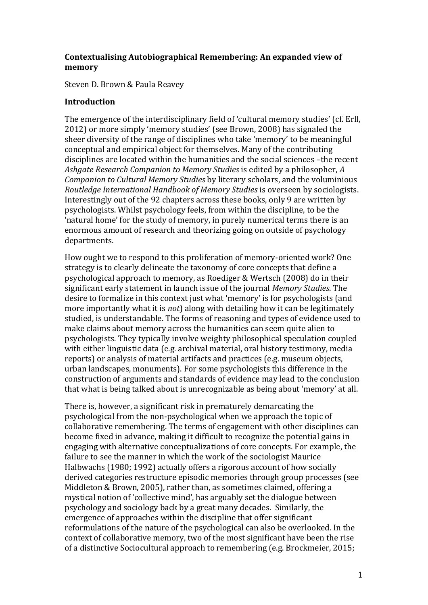## **Contextualising Autobiographical Remembering: An expanded view of memory**

Steven D. Brown & Paula Reavey

## **Introduction**

The emergence of the interdisciplinary field of 'cultural memory studies' (cf. Erll, 2012) or more simply 'memory studies' (see Brown, 2008) has signaled the sheer diversity of the range of disciplines who take 'memory' to be meaningful conceptual and empirical object for themselves. Many of the contributing disciplines are located within the humanities and the social sciences –the recent *Ashgate Research Companion to Memory Studies* is edited by a philosopher, *A Companion to Cultural Memory Studies* by literary scholars, and the voluminious *Routledge International Handbook of Memory Studies* is overseen by sociologists. Interestingly out of the 92 chapters across these books, only 9 are written by psychologists. Whilst psychology feels, from within the discipline, to be the 'natural home' for the study of memory, in purely numerical terms there is an enormous amount of research and theorizing going on outside of psychology departments.

How ought we to respond to this proliferation of memory-oriented work? One strategy is to clearly delineate the taxonomy of core concepts that define a psychological approach to memory, as Roediger & Wertsch (2008) do in their significant early statement in launch issue of the journal *Memory Studies*. The desire to formalize in this context just what 'memory' is for psychologists (and more importantly what it is *not*) along with detailing how it can be legitimately studied, is understandable. The forms of reasoning and types of evidence used to make claims about memory across the humanities can seem quite alien to psychologists. They typically involve weighty philosophical speculation coupled with either linguistic data (e.g. archival material, oral history testimony, media reports) or analysis of material artifacts and practices (e.g. museum objects, urban landscapes, monuments). For some psychologists this difference in the construction of arguments and standards of evidence may lead to the conclusion that what is being talked about is unrecognizable as being about 'memory' at all.

There is, however, a significant risk in prematurely demarcating the psychological from the non-psychological when we approach the topic of collaborative remembering. The terms of engagement with other disciplines can become fixed in advance, making it difficult to recognize the potential gains in engaging with alternative conceptualizations of core concepts. For example, the failure to see the manner in which the work of the sociologist Maurice Halbwachs (1980; 1992) actually offers a rigorous account of how socially derived categories restructure episodic memories through group processes (see Middleton & Brown, 2005), rather than, as sometimes claimed, offering a mystical notion of 'collective mind', has arguably set the dialogue between psychology and sociology back by a great many decades. Similarly, the emergence of approaches within the discipline that offer significant reformulations of the nature of the psychological can also be overlooked. In the context of collaborative memory, two of the most significant have been the rise of a distinctive Sociocultural approach to remembering (e.g. Brockmeier, 2015;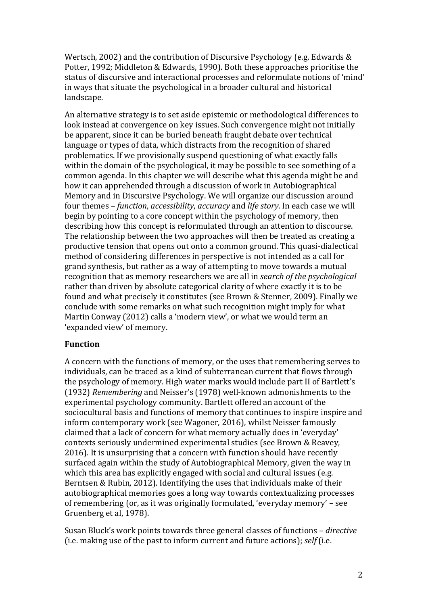Wertsch, 2002) and the contribution of Discursive Psychology (e.g. Edwards & Potter, 1992; Middleton & Edwards, 1990). Both these approaches prioritise the status of discursive and interactional processes and reformulate notions of 'mind' in ways that situate the psychological in a broader cultural and historical landscape.

An alternative strategy is to set aside epistemic or methodological differences to look instead at convergence on key issues. Such convergence might not initially be apparent, since it can be buried beneath fraught debate over technical language or types of data, which distracts from the recognition of shared problematics. If we provisionally suspend questioning of what exactly falls within the domain of the psychological, it may be possible to see something of a common agenda. In this chapter we will describe what this agenda might be and how it can apprehended through a discussion of work in Autobiographical Memory and in Discursive Psychology. We will organize our discussion around four themes – *function*, *accessibility*, *accuracy* and *life story*. In each case we will begin by pointing to a core concept within the psychology of memory, then describing how this concept is reformulated through an attention to discourse. The relationship between the two approaches will then be treated as creating a productive tension that opens out onto a common ground. This quasi-dialectical method of considering differences in perspective is not intended as a call for grand synthesis, but rather as a way of attempting to move towards a mutual recognition that as memory researchers we are all in *search of the psychological* rather than driven by absolute categorical clarity of where exactly it is to be found and what precisely it constitutes (see Brown & Stenner, 2009). Finally we conclude with some remarks on what such recognition might imply for what Martin Conway (2012) calls a 'modern view', or what we would term an 'expanded view' of memory.

## **Function**

A concern with the functions of memory, or the uses that remembering serves to individuals, can be traced as a kind of subterranean current that flows through the psychology of memory. High water marks would include part II of Bartlett's (1932) *Remembering* and Neisser's (1978) well-known admonishments to the experimental psychology community. Bartlett offered an account of the sociocultural basis and functions of memory that continues to inspire inspire and inform contemporary work (see Wagoner, 2016), whilst Neisser famously claimed that a lack of concern for what memory actually does in 'everyday' contexts seriously undermined experimental studies (see Brown & Reavey, 2016). It is unsurprising that a concern with function should have recently surfaced again within the study of Autobiographical Memory, given the way in which this area has explicitly engaged with social and cultural issues (e.g. Berntsen & Rubin, 2012). Identifying the uses that individuals make of their autobiographical memories goes a long way towards contextualizing processes of remembering (or, as it was originally formulated, 'everyday memory' – see Gruenberg et al, 1978).

Susan Bluck's work points towards three general classes of functions – *directive* (i.e. making use of the past to inform current and future actions); *self* (i.e.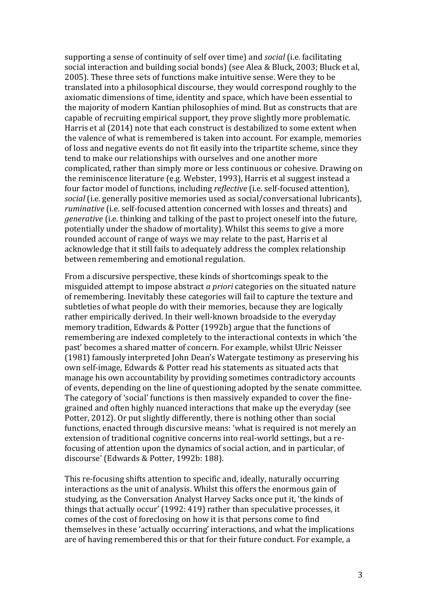supporting a sense of continuity of self over time) and *social* (i.e. facilitating social interaction and building social bonds) (see Alea & Bluck, 2003; Bluck et al, 2005). These three sets of functions make intuitive sense. Were they to be translated into a philosophical discourse, they would correspond roughly to the axiomatic dimensions of time, identity and space, which have been essential to the majority of modern Kantian philosophies of mind. But as constructs that are capable of recruiting empirical support, they prove slightly more problematic. Harris et al (2014) note that each construct is destabilized to some extent when the valence of what is remembered is taken into account. For example, memories of loss and negative events do not fit easily into the tripartite scheme, since they tend to make our relationships with ourselves and one another more complicated, rather than simply more or less continuous or cohesive. Drawing on the reminiscence literature (e.g. Webster, 1993), Harris et al suggest instead a four factor model of functions, including *reflective* (i.e. self-focused attention), *social* (i.e. generally positive memories used as social/conversational lubricants), *ruminative* (i.e. self-focused attention concerned with losses and threats) and *generative* (i.e. thinking and talking of the past to project oneself into the future, potentially under the shadow of mortality). Whilst this seems to give a more rounded account of range of ways we may relate to the past, Harris et al acknowledge that it still fails to adequately address the complex relationship between remembering and emotional regulation.

From a discursive perspective, these kinds of shortcomings speak to the misguided attempt to impose abstract *a priori* categories on the situated nature of remembering. Inevitably these categories will fail to capture the texture and subtleties of what people do with their memories, because they are logically rather empirically derived. In their well-known broadside to the everyday memory tradition, Edwards & Potter (1992b) argue that the functions of remembering are indexed completely to the interactional contexts in which 'the past' becomes a shared matter of concern. For example, whilst Ulric Neisser (1981) famously interpreted John Dean's Watergate testimony as preserving his own self-image, Edwards & Potter read his statements as situated acts that manage his own accountability by providing sometimes contradictory accounts of events, depending on the line of questioning adopted by the senate committee. The category of 'social' functions is then massively expanded to cover the finegrained and often highly nuanced interactions that make up the everyday (see Potter, 2012). Or put slightly differently, there is nothing other than social functions, enacted through discursive means: 'what is required is not merely an extension of traditional cognitive concerns into real-world settings, but a refocusing of attention upon the dynamics of social action, and in particular, of discourse' (Edwards & Potter, 1992b: 188).

This re-focusing shifts attention to specific and, ideally, naturally occurring interactions as the unit of analysis. Whilst this offers the enormous gain of studying, as the Conversation Analyst Harvey Sacks once put it, 'the kinds of things that actually occur' (1992: 419) rather than speculative processes, it comes of the cost of foreclosing on how it is that persons come to find themselves in these 'actually occurring' interactions, and what the implications are of having remembered this or that for their future conduct. For example, a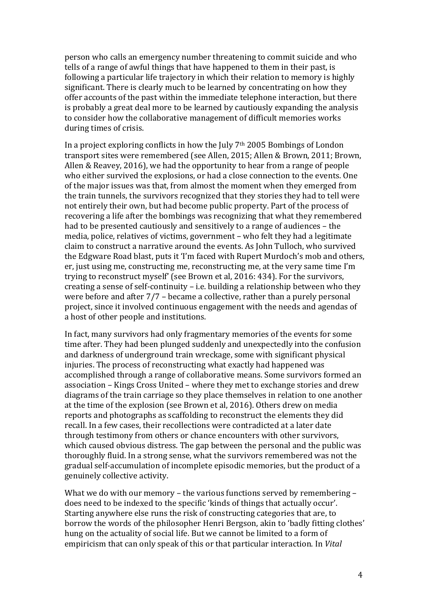person who calls an emergency number threatening to commit suicide and who tells of a range of awful things that have happened to them in their past, is following a particular life trajectory in which their relation to memory is highly significant. There is clearly much to be learned by concentrating on how they offer accounts of the past within the immediate telephone interaction, but there is probably a great deal more to be learned by cautiously expanding the analysis to consider how the collaborative management of difficult memories works during times of crisis.

In a project exploring conflicts in how the July  $7<sup>th</sup> 2005$  Bombings of London transport sites were remembered (see Allen, 2015; Allen & Brown, 2011; Brown, Allen & Reavey, 2016), we had the opportunity to hear from a range of people who either survived the explosions, or had a close connection to the events. One of the major issues was that, from almost the moment when they emerged from the train tunnels, the survivors recognized that they stories they had to tell were not entirely their own, but had become public property. Part of the process of recovering a life after the bombings was recognizing that what they remembered had to be presented cautiously and sensitively to a range of audiences – the media, police, relatives of victims, government – who felt they had a legitimate claim to construct a narrative around the events. As John Tulloch, who survived the Edgware Road blast, puts it 'I'm faced with Rupert Murdoch's mob and others, er, just using me, constructing me, reconstructing me, at the very same time I'm trying to reconstruct myself' (see Brown et al, 2016: 434). For the survivors, creating a sense of self-continuity – i.e. building a relationship between who they were before and after 7/7 – became a collective, rather than a purely personal project, since it involved continuous engagement with the needs and agendas of a host of other people and institutions.

In fact, many survivors had only fragmentary memories of the events for some time after. They had been plunged suddenly and unexpectedly into the confusion and darkness of underground train wreckage, some with significant physical injuries. The process of reconstructing what exactly had happened was accomplished through a range of collaborative means. Some survivors formed an association – Kings Cross United – where they met to exchange stories and drew diagrams of the train carriage so they place themselves in relation to one another at the time of the explosion (see Brown et al, 2016). Others drew on media reports and photographs as scaffolding to reconstruct the elements they did recall. In a few cases, their recollections were contradicted at a later date through testimony from others or chance encounters with other survivors, which caused obvious distress. The gap between the personal and the public was thoroughly fluid. In a strong sense, what the survivors remembered was not the gradual self-accumulation of incomplete episodic memories, but the product of a genuinely collective activity.

What we do with our memory – the various functions served by remembering – does need to be indexed to the specific 'kinds of things that actually occur'. Starting anywhere else runs the risk of constructing categories that are, to borrow the words of the philosopher Henri Bergson, akin to 'badly fitting clothes' hung on the actuality of social life. But we cannot be limited to a form of empiricism that can only speak of this or that particular interaction. In *Vital*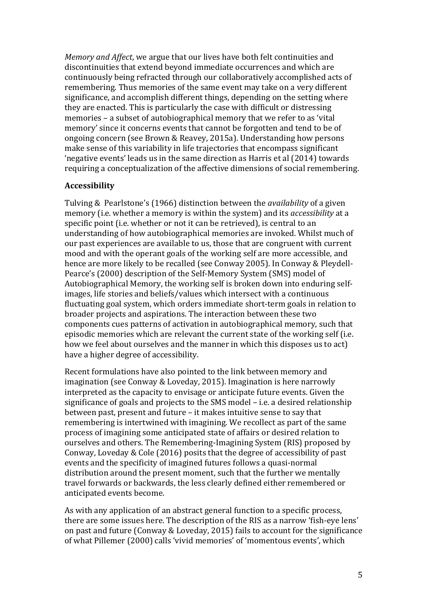*Memory and Affect*, we argue that our lives have both felt continuities and discontinuities that extend beyond immediate occurrences and which are continuously being refracted through our collaboratively accomplished acts of remembering. Thus memories of the same event may take on a very different significance, and accomplish different things, depending on the setting where they are enacted. This is particularly the case with difficult or distressing memories – a subset of autobiographical memory that we refer to as 'vital memory' since it concerns events that cannot be forgotten and tend to be of ongoing concern (see Brown & Reavey, 2015a). Understanding how persons make sense of this variability in life trajectories that encompass significant 'negative events' leads us in the same direction as Harris et al (2014) towards requiring a conceptualization of the affective dimensions of social remembering.

## **Accessibility**

Tulving & Pearlstone's (1966) distinction between the *availability* of a given memory (i.e. whether a memory is within the system) and its *accessibility* at a specific point (i.e. whether or not it can be retrieved), is central to an understanding of how autobiographical memories are invoked. Whilst much of our past experiences are available to us, those that are congruent with current mood and with the operant goals of the working self are more accessible, and hence are more likely to be recalled (see Conway 2005). In Conway & Pleydell-Pearce's (2000) description of the Self-Memory System (SMS) model of Autobiographical Memory, the working self is broken down into enduring selfimages, life stories and beliefs/values which intersect with a continuous fluctuating goal system, which orders immediate short-term goals in relation to broader projects and aspirations. The interaction between these two components cues patterns of activation in autobiographical memory, such that episodic memories which are relevant the current state of the working self (i.e. how we feel about ourselves and the manner in which this disposes us to act) have a higher degree of accessibility.

Recent formulations have also pointed to the link between memory and imagination (see Conway & Loveday, 2015). Imagination is here narrowly interpreted as the capacity to envisage or anticipate future events. Given the significance of goals and projects to the SMS model – i.e. a desired relationship between past, present and future – it makes intuitive sense to say that remembering is intertwined with imagining. We recollect as part of the same process of imagining some anticipated state of affairs or desired relation to ourselves and others. The Remembering-Imagining System (RIS) proposed by Conway, Loveday & Cole (2016) posits that the degree of accessibility of past events and the specificity of imagined futures follows a quasi-normal distribution around the present moment, such that the further we mentally travel forwards or backwards, the less clearly defined either remembered or anticipated events become.

As with any application of an abstract general function to a specific process, there are some issues here. The description of the RIS as a narrow 'fish-eye lens' on past and future (Conway & Loveday, 2015) fails to account for the significance of what Pillemer (2000) calls 'vivid memories' of 'momentous events', which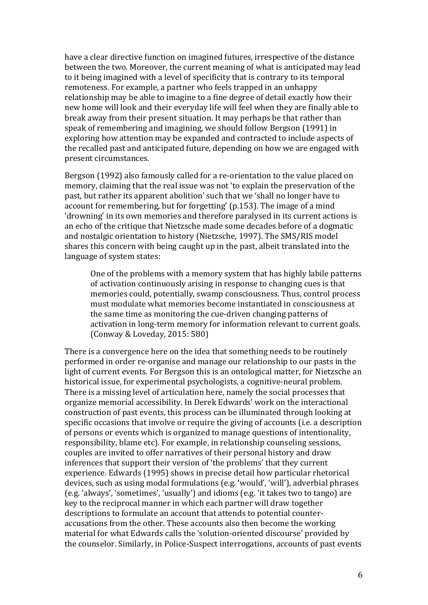have a clear directive function on imagined futures, irrespective of the distance between the two. Moreover, the current meaning of what is anticipated may lead to it being imagined with a level of specificity that is contrary to its temporal remoteness. For example, a partner who feels trapped in an unhappy relationship may be able to imagine to a fine degree of detail exactly how their new home will look and their everyday life will feel when they are finally able to break away from their present situation. It may perhaps be that rather than speak of remembering and imagining, we should follow Bergson (1991) in exploring how attention may be expanded and contracted to include aspects of the recalled past and anticipated future, depending on how we are engaged with present circumstances.

Bergson (1992) also famously called for a re-orientation to the value placed on memory, claiming that the real issue was not 'to explain the preservation of the past, but rather its apparent abolition' such that we 'shall no longer have to account for remembering, but for forgetting' (p.153). The image of a mind 'drowning' in its own memories and therefore paralysed in its current actions is an echo of the critique that Nietzsche made some decades before of a dogmatic and nostalgic orientation to history (Nietzsche, 1997). The SMS/RIS model shares this concern with being caught up in the past, albeit translated into the language of system states:

One of the problems with a memory system that has highly labile patterns of activation continuously arising in response to changing cues is that memories could, potentially, swamp consciousness. Thus, control process must modulate what memories become instantiated in consciousness at the same time as monitoring the cue-driven changing patterns of activation in long-term memory for information relevant to current goals. (Conway & Loveday, 2015: 580)

There is a convergence here on the idea that something needs to be routinely performed in order re-organise and manage our relationship to our pasts in the light of current events. For Bergson this is an ontological matter, for Nietzsche an historical issue, for experimental psychologists, a cognitive-neural problem. There is a missing level of articulation here, namely the social processes that organize memorial accessibility. In Derek Edwards' work on the interactional construction of past events, this process can be illuminated through looking at specific occasions that involve or require the giving of accounts (i.e. a description of persons or events which is organized to manage questions of intentionality, responsibility, blame etc). For example, in relationship counseling sessions, couples are invited to offer narratives of their personal history and draw inferences that support their version of 'the problems' that they current experience. Edwards (1995) shows in precise detail how particular rhetorical devices, such as using modal formulations (e.g. 'would', 'will'), adverbial phrases (e.g. 'always', 'sometimes', 'usually') and idioms (e.g. 'it takes two to tango) are key to the reciprocal manner in which each partner will draw together descriptions to formulate an account that attends to potential counteraccusations from the other. These accounts also then become the working material for what Edwards calls the 'solution-oriented discourse' provided by the counselor. Similarly, in Police-Suspect interrogations, accounts of past events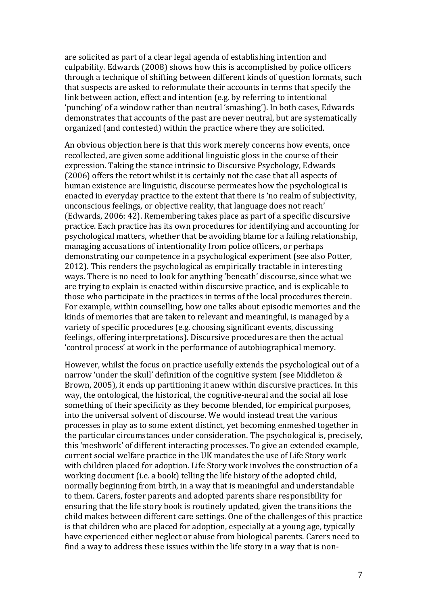are solicited as part of a clear legal agenda of establishing intention and culpability. Edwards (2008) shows how this is accomplished by police officers through a technique of shifting between different kinds of question formats, such that suspects are asked to reformulate their accounts in terms that specify the link between action, effect and intention (e.g. by referring to intentional 'punching' of a window rather than neutral 'smashing'). In both cases, Edwards demonstrates that accounts of the past are never neutral, but are systematically organized (and contested) within the practice where they are solicited.

An obvious objection here is that this work merely concerns how events, once recollected, are given some additional linguistic gloss in the course of their expression. Taking the stance intrinsic to Discursive Psychology, Edwards (2006) offers the retort whilst it is certainly not the case that all aspects of human existence are linguistic, discourse permeates how the psychological is enacted in everyday practice to the extent that there is 'no realm of subjectivity, unconscious feelings, or objective reality, that language does not reach' (Edwards, 2006: 42). Remembering takes place as part of a specific discursive practice. Each practice has its own procedures for identifying and accounting for psychological matters, whether that be avoiding blame for a failing relationship, managing accusations of intentionality from police officers, or perhaps demonstrating our competence in a psychological experiment (see also Potter, 2012). This renders the psychological as empirically tractable in interesting ways. There is no need to look for anything 'beneath' discourse, since what we are trying to explain is enacted within discursive practice, and is explicable to those who participate in the practices in terms of the local procedures therein. For example, within counselling, how one talks about episodic memories and the kinds of memories that are taken to relevant and meaningful, is managed by a variety of specific procedures (e.g. choosing significant events, discussing feelings, offering interpretations). Discursive procedures are then the actual 'control process' at work in the performance of autobiographical memory.

However, whilst the focus on practice usefully extends the psychological out of a narrow 'under the skull' definition of the cognitive system (see Middleton & Brown, 2005), it ends up partitioning it anew within discursive practices. In this way, the ontological, the historical, the cognitive-neural and the social all lose something of their specificity as they become blended, for empirical purposes, into the universal solvent of discourse. We would instead treat the various processes in play as to some extent distinct, yet becoming enmeshed together in the particular circumstances under consideration. The psychological is, precisely, this 'meshwork' of different interacting processes. To give an extended example, current social welfare practice in the UK mandates the use of Life Story work with children placed for adoption. Life Story work involves the construction of a working document (i.e. a book) telling the life history of the adopted child, normally beginning from birth, in a way that is meaningful and understandable to them. Carers, foster parents and adopted parents share responsibility for ensuring that the life story book is routinely updated, given the transitions the child makes between different care settings. One of the challenges of this practice is that children who are placed for adoption, especially at a young age, typically have experienced either neglect or abuse from biological parents. Carers need to find a way to address these issues within the life story in a way that is non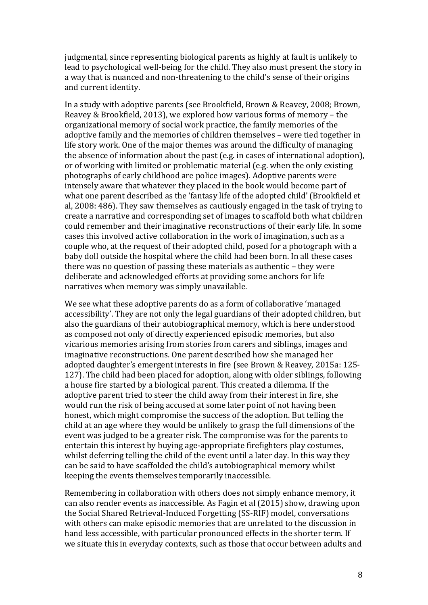judgmental, since representing biological parents as highly at fault is unlikely to lead to psychological well-being for the child. They also must present the story in a way that is nuanced and non-threatening to the child's sense of their origins and current identity.

In a study with adoptive parents (see Brookfield, Brown & Reavey, 2008; Brown, Reavey & Brookfield, 2013), we explored how various forms of memory – the organizational memory of social work practice, the family memories of the adoptive family and the memories of children themselves – were tied together in life story work. One of the major themes was around the difficulty of managing the absence of information about the past (e.g. in cases of international adoption), or of working with limited or problematic material (e.g. when the only existing photographs of early childhood are police images). Adoptive parents were intensely aware that whatever they placed in the book would become part of what one parent described as the 'fantasy life of the adopted child' (Brookfield et al, 2008: 486). They saw themselves as cautiously engaged in the task of trying to create a narrative and corresponding set of images to scaffold both what children could remember and their imaginative reconstructions of their early life. In some cases this involved active collaboration in the work of imagination, such as a couple who, at the request of their adopted child, posed for a photograph with a baby doll outside the hospital where the child had been born. In all these cases there was no question of passing these materials as authentic – they were deliberate and acknowledged efforts at providing some anchors for life narratives when memory was simply unavailable.

We see what these adoptive parents do as a form of collaborative 'managed accessibility'. They are not only the legal guardians of their adopted children, but also the guardians of their autobiographical memory, which is here understood as composed not only of directly experienced episodic memories, but also vicarious memories arising from stories from carers and siblings, images and imaginative reconstructions. One parent described how she managed her adopted daughter's emergent interests in fire (see Brown & Reavey, 2015a: 125- 127). The child had been placed for adoption, along with older siblings, following a house fire started by a biological parent. This created a dilemma. If the adoptive parent tried to steer the child away from their interest in fire, she would run the risk of being accused at some later point of not having been honest, which might compromise the success of the adoption. But telling the child at an age where they would be unlikely to grasp the full dimensions of the event was judged to be a greater risk. The compromise was for the parents to entertain this interest by buying age-appropriate firefighters play costumes, whilst deferring telling the child of the event until a later day. In this way they can be said to have scaffolded the child's autobiographical memory whilst keeping the events themselves temporarily inaccessible.

Remembering in collaboration with others does not simply enhance memory, it can also render events as inaccessible. As Fagin et al (2015) show, drawing upon the Social Shared Retrieval-Induced Forgetting (SS-RIF) model, conversations with others can make episodic memories that are unrelated to the discussion in hand less accessible, with particular pronounced effects in the shorter term. If we situate this in everyday contexts, such as those that occur between adults and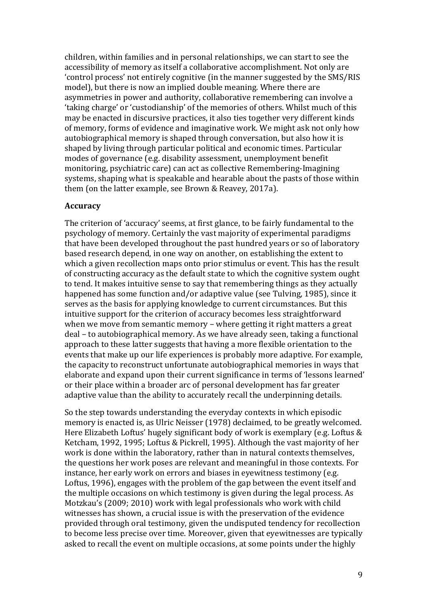children, within families and in personal relationships, we can start to see the accessibility of memory as itself a collaborative accomplishment. Not only are 'control process' not entirely cognitive (in the manner suggested by the SMS/RIS model), but there is now an implied double meaning. Where there are asymmetries in power and authority, collaborative remembering can involve a 'taking charge' or 'custodianship' of the memories of others. Whilst much of this may be enacted in discursive practices, it also ties together very different kinds of memory, forms of evidence and imaginative work. We might ask not only how autobiographical memory is shaped through conversation, but also how it is shaped by living through particular political and economic times. Particular modes of governance (e.g. disability assessment, unemployment benefit monitoring, psychiatric care) can act as collective Remembering-Imagining systems, shaping what is speakable and hearable about the pasts of those within them (on the latter example, see Brown & Reavey, 2017a).

### **Accuracy**

The criterion of 'accuracy' seems, at first glance, to be fairly fundamental to the psychology of memory. Certainly the vast majority of experimental paradigms that have been developed throughout the past hundred years or so of laboratory based research depend, in one way on another, on establishing the extent to which a given recollection maps onto prior stimulus or event. This has the result of constructing accuracy as the default state to which the cognitive system ought to tend. It makes intuitive sense to say that remembering things as they actually happened has some function and/or adaptive value (see Tulving, 1985), since it serves as the basis for applying knowledge to current circumstances. But this intuitive support for the criterion of accuracy becomes less straightforward when we move from semantic memory – where getting it right matters a great deal – to autobiographical memory. As we have already seen, taking a functional approach to these latter suggests that having a more flexible orientation to the events that make up our life experiences is probably more adaptive. For example, the capacity to reconstruct unfortunate autobiographical memories in ways that elaborate and expand upon their current significance in terms of 'lessons learned' or their place within a broader arc of personal development has far greater adaptive value than the ability to accurately recall the underpinning details.

So the step towards understanding the everyday contexts in which episodic memory is enacted is, as Ulric Neisser (1978) declaimed, to be greatly welcomed. Here Elizabeth Loftus' hugely significant body of work is exemplary (e.g. Loftus & Ketcham, 1992, 1995; Loftus & Pickrell, 1995). Although the vast majority of her work is done within the laboratory, rather than in natural contexts themselves, the questions her work poses are relevant and meaningful in those contexts. For instance, her early work on errors and biases in eyewitness testimony (e.g. Loftus, 1996), engages with the problem of the gap between the event itself and the multiple occasions on which testimony is given during the legal process. As Motzkau's (2009; 2010) work with legal professionals who work with child witnesses has shown, a crucial issue is with the preservation of the evidence provided through oral testimony, given the undisputed tendency for recollection to become less precise over time. Moreover, given that eyewitnesses are typically asked to recall the event on multiple occasions, at some points under the highly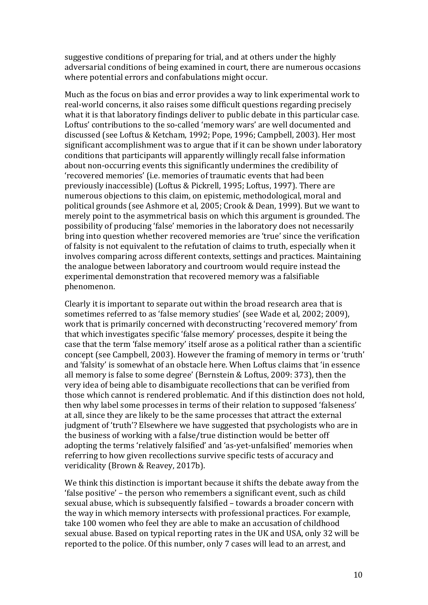suggestive conditions of preparing for trial, and at others under the highly adversarial conditions of being examined in court, there are numerous occasions where potential errors and confabulations might occur.

Much as the focus on bias and error provides a way to link experimental work to real-world concerns, it also raises some difficult questions regarding precisely what it is that laboratory findings deliver to public debate in this particular case. Loftus' contributions to the so-called 'memory wars' are well documented and discussed (see Loftus & Ketcham, 1992; Pope, 1996; Campbell, 2003). Her most significant accomplishment was to argue that if it can be shown under laboratory conditions that participants will apparently willingly recall false information about non-occurring events this significantly undermines the credibility of 'recovered memories' (i.e. memories of traumatic events that had been previously inaccessible) (Loftus & Pickrell, 1995; Loftus, 1997). There are numerous objections to this claim, on epistemic, methodological, moral and political grounds (see Ashmore et al, 2005; Crook & Dean, 1999). But we want to merely point to the asymmetrical basis on which this argument is grounded. The possibility of producing 'false' memories in the laboratory does not necessarily bring into question whether recovered memories are 'true' since the verification of falsity is not equivalent to the refutation of claims to truth, especially when it involves comparing across different contexts, settings and practices. Maintaining the analogue between laboratory and courtroom would require instead the experimental demonstration that recovered memory was a falsifiable phenomenon.

Clearly it is important to separate out within the broad research area that is sometimes referred to as 'false memory studies' (see Wade et al, 2002; 2009), work that is primarily concerned with deconstructing 'recovered memory' from that which investigates specific 'false memory' processes, despite it being the case that the term 'false memory' itself arose as a political rather than a scientific concept (see Campbell, 2003). However the framing of memory in terms or 'truth' and 'falsity' is somewhat of an obstacle here. When Loftus claims that 'in essence all memory is false to some degree' (Bernstein & Loftus, 2009: 373), then the very idea of being able to disambiguate recollections that can be verified from those which cannot is rendered problematic. And if this distinction does not hold, then why label some processes in terms of their relation to supposed 'falseness' at all, since they are likely to be the same processes that attract the external judgment of 'truth'? Elsewhere we have suggested that psychologists who are in the business of working with a false/true distinction would be better off adopting the terms 'relatively falsified' and 'as-yet-unfalsified' memories when referring to how given recollections survive specific tests of accuracy and veridicality (Brown & Reavey, 2017b).

We think this distinction is important because it shifts the debate away from the 'false positive' – the person who remembers a significant event, such as child sexual abuse, which is subsequently falsified – towards a broader concern with the way in which memory intersects with professional practices. For example, take 100 women who feel they are able to make an accusation of childhood sexual abuse. Based on typical reporting rates in the UK and USA, only 32 will be reported to the police. Of this number, only 7 cases will lead to an arrest, and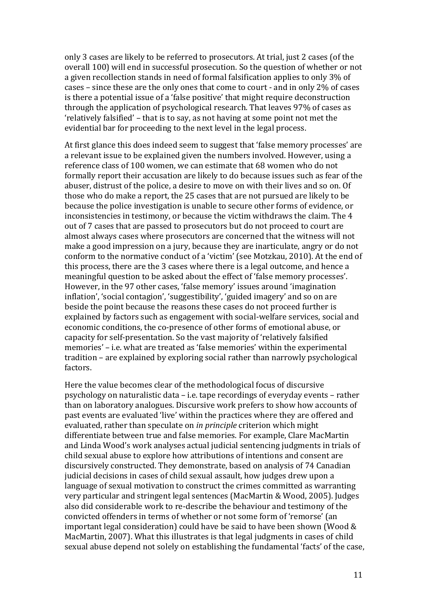only 3 cases are likely to be referred to prosecutors. At trial, just 2 cases (of the overall 100) will end in successful prosecution. So the question of whether or not a given recollection stands in need of formal falsification applies to only 3% of cases – since these are the only ones that come to court - and in only 2% of cases is there a potential issue of a 'false positive' that might require deconstruction through the application of psychological research. That leaves 97% of cases as 'relatively falsified' – that is to say, as not having at some point not met the evidential bar for proceeding to the next level in the legal process.

At first glance this does indeed seem to suggest that 'false memory processes' are a relevant issue to be explained given the numbers involved. However, using a reference class of 100 women, we can estimate that 68 women who do not formally report their accusation are likely to do because issues such as fear of the abuser, distrust of the police, a desire to move on with their lives and so on. Of those who do make a report, the 25 cases that are not pursued are likely to be because the police investigation is unable to secure other forms of evidence, or inconsistencies in testimony, or because the victim withdraws the claim. The 4 out of 7 cases that are passed to prosecutors but do not proceed to court are almost always cases where prosecutors are concerned that the witness will not make a good impression on a jury, because they are inarticulate, angry or do not conform to the normative conduct of a 'victim' (see Motzkau, 2010). At the end of this process, there are the 3 cases where there is a legal outcome, and hence a meaningful question to be asked about the effect of 'false memory processes'. However, in the 97 other cases, 'false memory' issues around 'imagination inflation', 'social contagion', 'suggestibility', 'guided imagery' and so on are beside the point because the reasons these cases do not proceed further is explained by factors such as engagement with social-welfare services, social and economic conditions, the co-presence of other forms of emotional abuse, or capacity for self-presentation. So the vast majority of 'relatively falsified memories' – i.e. what are treated as 'false memories' within the experimental tradition – are explained by exploring social rather than narrowly psychological factors.

Here the value becomes clear of the methodological focus of discursive psychology on naturalistic data – i.e. tape recordings of everyday events – rather than on laboratory analogues. Discursive work prefers to show how accounts of past events are evaluated 'live' within the practices where they are offered and evaluated, rather than speculate on *in principle* criterion which might differentiate between true and false memories. For example, Clare MacMartin and Linda Wood's work analyses actual judicial sentencing judgments in trials of child sexual abuse to explore how attributions of intentions and consent are discursively constructed. They demonstrate, based on analysis of 74 Canadian judicial decisions in cases of child sexual assault, how judges drew upon a language of sexual motivation to construct the crimes committed as warranting very particular and stringent legal sentences (MacMartin & Wood, 2005). Judges also did considerable work to re-describe the behaviour and testimony of the convicted offenders in terms of whether or not some form of 'remorse' (an important legal consideration) could have be said to have been shown (Wood & MacMartin, 2007). What this illustrates is that legal judgments in cases of child sexual abuse depend not solely on establishing the fundamental 'facts' of the case,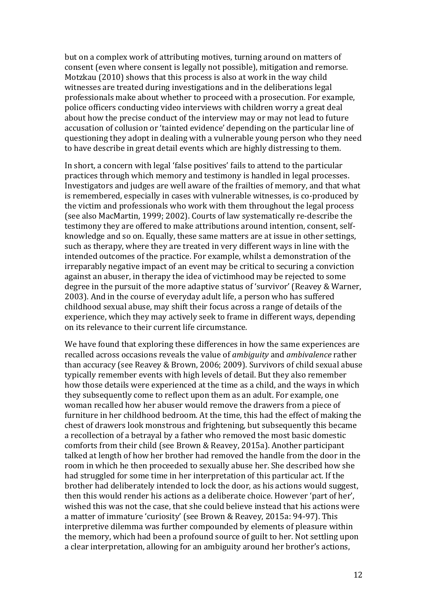but on a complex work of attributing motives, turning around on matters of consent (even where consent is legally not possible), mitigation and remorse. Motzkau (2010) shows that this process is also at work in the way child witnesses are treated during investigations and in the deliberations legal professionals make about whether to proceed with a prosecution. For example, police officers conducting video interviews with children worry a great deal about how the precise conduct of the interview may or may not lead to future accusation of collusion or 'tainted evidence' depending on the particular line of questioning they adopt in dealing with a vulnerable young person who they need to have describe in great detail events which are highly distressing to them.

In short, a concern with legal 'false positives' fails to attend to the particular practices through which memory and testimony is handled in legal processes. Investigators and judges are well aware of the frailties of memory, and that what is remembered, especially in cases with vulnerable witnesses, is co-produced by the victim and professionals who work with them throughout the legal process (see also MacMartin, 1999; 2002). Courts of law systematically re-describe the testimony they are offered to make attributions around intention, consent, selfknowledge and so on. Equally, these same matters are at issue in other settings, such as therapy, where they are treated in very different ways in line with the intended outcomes of the practice. For example, whilst a demonstration of the irreparably negative impact of an event may be critical to securing a conviction against an abuser, in therapy the idea of victimhood may be rejected to some degree in the pursuit of the more adaptive status of 'survivor' (Reavey & Warner, 2003). And in the course of everyday adult life, a person who has suffered childhood sexual abuse, may shift their focus across a range of details of the experience, which they may actively seek to frame in different ways, depending on its relevance to their current life circumstance.

We have found that exploring these differences in how the same experiences are recalled across occasions reveals the value of *ambiguity* and *ambivalence* rather than accuracy (see Reavey & Brown, 2006; 2009). Survivors of child sexual abuse typically remember events with high levels of detail. But they also remember how those details were experienced at the time as a child, and the ways in which they subsequently come to reflect upon them as an adult. For example, one woman recalled how her abuser would remove the drawers from a piece of furniture in her childhood bedroom. At the time, this had the effect of making the chest of drawers look monstrous and frightening, but subsequently this became a recollection of a betrayal by a father who removed the most basic domestic comforts from their child (see Brown & Reavey, 2015a). Another participant talked at length of how her brother had removed the handle from the door in the room in which he then proceeded to sexually abuse her. She described how she had struggled for some time in her interpretation of this particular act. If the brother had deliberately intended to lock the door, as his actions would suggest, then this would render his actions as a deliberate choice. However 'part of her', wished this was not the case, that she could believe instead that his actions were a matter of immature 'curiosity' (see Brown & Reavey, 2015a: 94-97). This interpretive dilemma was further compounded by elements of pleasure within the memory, which had been a profound source of guilt to her. Not settling upon a clear interpretation, allowing for an ambiguity around her brother's actions,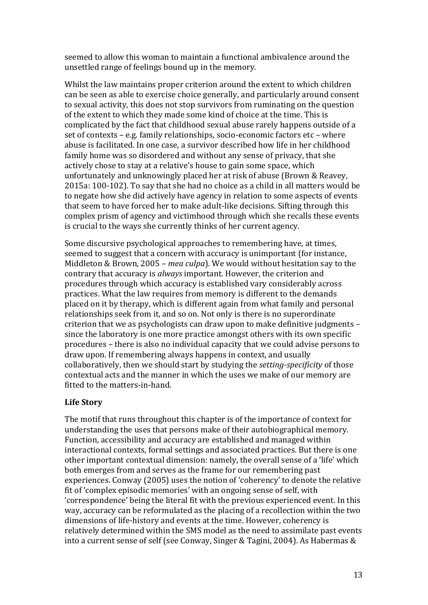seemed to allow this woman to maintain a functional ambivalence around the unsettled range of feelings bound up in the memory.

Whilst the law maintains proper criterion around the extent to which children can be seen as able to exercise choice generally, and particularly around consent to sexual activity, this does not stop survivors from ruminating on the question of the extent to which they made some kind of choice at the time. This is complicated by the fact that childhood sexual abuse rarely happens outside of a set of contexts – e.g. family relationships, socio-economic factors etc – where abuse is facilitated. In one case, a survivor described how life in her childhood family home was so disordered and without any sense of privacy, that she actively chose to stay at a relative's house to gain some space, which unfortunately and unknowingly placed her at risk of abuse (Brown & Reavey, 2015a: 100-102). To say that she had no choice as a child in all matters would be to negate how she did actively have agency in relation to some aspects of events that seem to have forced her to make adult-like decisions. Sifting through this complex prism of agency and victimhood through which she recalls these events is crucial to the ways she currently thinks of her current agency.

Some discursive psychological approaches to remembering have, at times, seemed to suggest that a concern with accuracy is unimportant (for instance, Middleton & Brown, 2005 – *mea culpa*). We would without hesitation say to the contrary that accuracy is *always* important. However, the criterion and procedures through which accuracy is established vary considerably across practices. What the law requires from memory is different to the demands placed on it by therapy, which is different again from what family and personal relationships seek from it, and so on. Not only is there is no superordinate criterion that we as psychologists can draw upon to make definitive judgments – since the laboratory is one more practice amongst others with its own specific procedures – there is also no individual capacity that we could advise persons to draw upon. If remembering always happens in context, and usually collaboratively, then we should start by studying the *setting-specificity* of those contextual acts and the manner in which the uses we make of our memory are fitted to the matters-in-hand.

# **Life Story**

The motif that runs throughout this chapter is of the importance of context for understanding the uses that persons make of their autobiographical memory. Function, accessibility and accuracy are established and managed within interactional contexts, formal settings and associated practices. But there is one other important contextual dimension: namely, the overall sense of a 'life' which both emerges from and serves as the frame for our remembering past experiences. Conway (2005) uses the notion of 'coherency' to denote the relative fit of 'complex episodic memories' with an ongoing sense of self, with 'correspondence' being the literal fit with the previous experienced event. In this way, accuracy can be reformulated as the placing of a recollection within the two dimensions of life-history and events at the time. However, coherency is relatively determined within the SMS model as the need to assimilate past events into a current sense of self (see Conway, Singer & Tagini, 2004). As Habermas &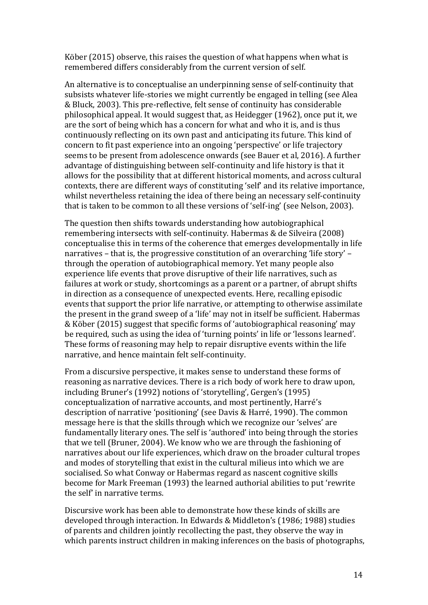Köber (2015) observe, this raises the question of what happens when what is remembered differs considerably from the current version of self.

An alternative is to conceptualise an underpinning sense of self-continuity that subsists whatever life-stories we might currently be engaged in telling (see Alea & Bluck, 2003). This pre-reflective, felt sense of continuity has considerable philosophical appeal. It would suggest that, as Heidegger (1962), once put it, we are the sort of being which has a concern for what and who it is, and is thus continuously reflecting on its own past and anticipating its future. This kind of concern to fit past experience into an ongoing 'perspective' or life trajectory seems to be present from adolescence onwards (see Bauer et al, 2016). A further advantage of distinguishing between self-continuity and life history is that it allows for the possibility that at different historical moments, and across cultural contexts, there are different ways of constituting 'self' and its relative importance, whilst nevertheless retaining the idea of there being an necessary self-continuity that is taken to be common to all these versions of 'self-ing' (see Nelson, 2003).

The question then shifts towards understanding how autobiographical remembering intersects with self-continuity. Habermas & de Silveira (2008) conceptualise this in terms of the coherence that emerges developmentally in life narratives – that is, the progressive constitution of an overarching 'life story' – through the operation of autobiographical memory. Yet many people also experience life events that prove disruptive of their life narratives, such as failures at work or study, shortcomings as a parent or a partner, of abrupt shifts in direction as a consequence of unexpected events. Here, recalling episodic events that support the prior life narrative, or attempting to otherwise assimilate the present in the grand sweep of a 'life' may not in itself be sufficient. Habermas & Köber (2015) suggest that specific forms of 'autobiographical reasoning' may be required, such as using the idea of 'turning points' in life or 'lessons learned'. These forms of reasoning may help to repair disruptive events within the life narrative, and hence maintain felt self-continuity.

From a discursive perspective, it makes sense to understand these forms of reasoning as narrative devices. There is a rich body of work here to draw upon, including Bruner's (1992) notions of 'storytelling', Gergen's (1995) conceptualization of narrative accounts, and most pertinently, Harré's description of narrative 'positioning' (see Davis & Harré, 1990). The common message here is that the skills through which we recognize our 'selves' are fundamentally literary ones. The self is 'authored' into being through the stories that we tell (Bruner, 2004). We know who we are through the fashioning of narratives about our life experiences, which draw on the broader cultural tropes and modes of storytelling that exist in the cultural milieus into which we are socialised. So what Conway or Habermas regard as nascent cognitive skills become for Mark Freeman (1993) the learned authorial abilities to put 'rewrite the self' in narrative terms.

Discursive work has been able to demonstrate how these kinds of skills are developed through interaction. In Edwards & Middleton's (1986; 1988) studies of parents and children jointly recollecting the past, they observe the way in which parents instruct children in making inferences on the basis of photographs,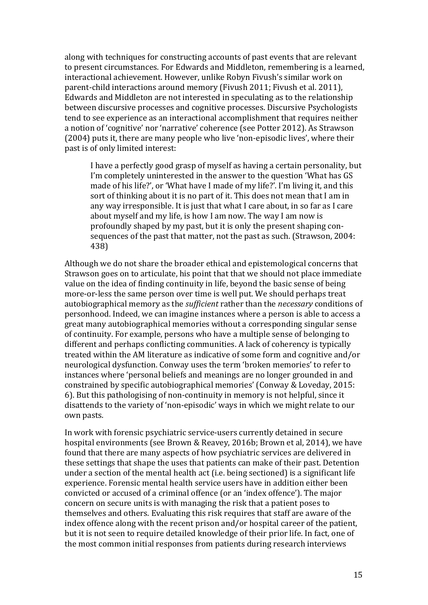along with techniques for constructing accounts of past events that are relevant to present circumstances. For Edwards and Middleton, remembering is a learned, interactional achievement. However, unlike Robyn Fivush's similar work on parent-child interactions around memory (Fivush 2011; Fivush et al. 2011), Edwards and Middleton are not interested in speculating as to the relationship between discursive processes and cognitive processes. Discursive Psychologists tend to see experience as an interactional accomplishment that requires neither a notion of 'cognitive' nor 'narrative' coherence (see Potter 2012). As Strawson (2004) puts it, there are many people who live 'non-episodic lives', where their past is of only limited interest:

I have a perfectly good grasp of myself as having a certain personality, but I'm completely uninterested in the answer to the question 'What has GS made of his life?', or 'What have I made of my life?'. I'm living it, and this sort of thinking about it is no part of it. This does not mean that I am in any way irresponsible. It is just that what I care about, in so far as I care about myself and my life, is how I am now. The way I am now is profoundly shaped by my past, but it is only the present shaping consequences of the past that matter, not the past as such. (Strawson, 2004: 438)

Although we do not share the broader ethical and epistemological concerns that Strawson goes on to articulate, his point that that we should not place immediate value on the idea of finding continuity in life, beyond the basic sense of being more-or-less the same person over time is well put. We should perhaps treat autobiographical memory as the *sufficient* rather than the *necessary* conditions of personhood. Indeed, we can imagine instances where a person is able to access a great many autobiographical memories without a corresponding singular sense of continuity. For example, persons who have a multiple sense of belonging to different and perhaps conflicting communities. A lack of coherency is typically treated within the AM literature as indicative of some form and cognitive and/or neurological dysfunction. Conway uses the term 'broken memories' to refer to instances where 'personal beliefs and meanings are no longer grounded in and constrained by specific autobiographical memories' (Conway & Loveday, 2015: 6). But this pathologising of non-continuity in memory is not helpful, since it disattends to the variety of 'non-episodic' ways in which we might relate to our own pasts.

In work with forensic psychiatric service-users currently detained in secure hospital environments (see Brown & Reavey, 2016b; Brown et al, 2014), we have found that there are many aspects of how psychiatric services are delivered in these settings that shape the uses that patients can make of their past. Detention under a section of the mental health act (i.e. being sectioned) is a significant life experience. Forensic mental health service users have in addition either been convicted or accused of a criminal offence (or an 'index offence'). The major concern on secure units is with managing the risk that a patient poses to themselves and others. Evaluating this risk requires that staff are aware of the index offence along with the recent prison and/or hospital career of the patient, but it is not seen to require detailed knowledge of their prior life. In fact, one of the most common initial responses from patients during research interviews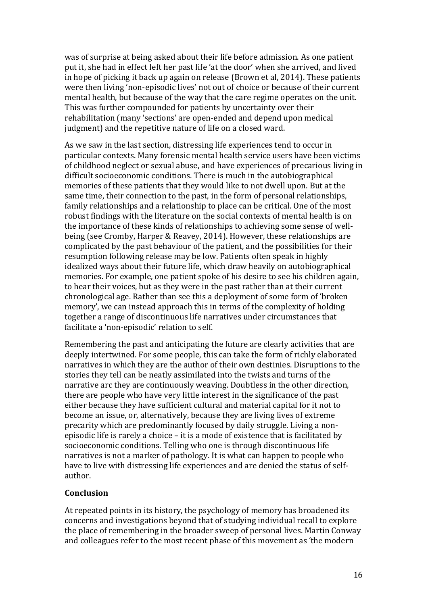was of surprise at being asked about their life before admission. As one patient put it, she had in effect left her past life 'at the door' when she arrived, and lived in hope of picking it back up again on release (Brown et al, 2014). These patients were then living 'non-episodic lives' not out of choice or because of their current mental health, but because of the way that the care regime operates on the unit. This was further compounded for patients by uncertainty over their rehabilitation (many 'sections' are open-ended and depend upon medical judgment) and the repetitive nature of life on a closed ward.

As we saw in the last section, distressing life experiences tend to occur in particular contexts. Many forensic mental health service users have been victims of childhood neglect or sexual abuse, and have experiences of precarious living in difficult socioeconomic conditions. There is much in the autobiographical memories of these patients that they would like to not dwell upon. But at the same time, their connection to the past, in the form of personal relationships, family relationships and a relationship to place can be critical. One of the most robust findings with the literature on the social contexts of mental health is on the importance of these kinds of relationships to achieving some sense of wellbeing (see Cromby, Harper & Reavey, 2014). However, these relationships are complicated by the past behaviour of the patient, and the possibilities for their resumption following release may be low. Patients often speak in highly idealized ways about their future life, which draw heavily on autobiographical memories. For example, one patient spoke of his desire to see his children again, to hear their voices, but as they were in the past rather than at their current chronological age. Rather than see this a deployment of some form of 'broken memory', we can instead approach this in terms of the complexity of holding together a range of discontinuous life narratives under circumstances that facilitate a 'non-episodic' relation to self.

Remembering the past and anticipating the future are clearly activities that are deeply intertwined. For some people, this can take the form of richly elaborated narratives in which they are the author of their own destinies. Disruptions to the stories they tell can be neatly assimilated into the twists and turns of the narrative arc they are continuously weaving. Doubtless in the other direction, there are people who have very little interest in the significance of the past either because they have sufficient cultural and material capital for it not to become an issue, or, alternatively, because they are living lives of extreme precarity which are predominantly focused by daily struggle. Living a nonepisodic life is rarely a choice – it is a mode of existence that is facilitated by socioeconomic conditions. Telling who one is through discontinuous life narratives is not a marker of pathology. It is what can happen to people who have to live with distressing life experiences and are denied the status of selfauthor.

## **Conclusion**

At repeated points in its history, the psychology of memory has broadened its concerns and investigations beyond that of studying individual recall to explore the place of remembering in the broader sweep of personal lives. Martin Conway and colleagues refer to the most recent phase of this movement as 'the modern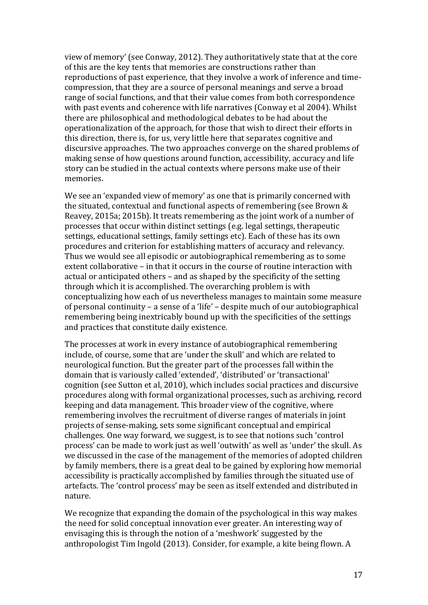view of memory' (see Conway, 2012). They authoritatively state that at the core of this are the key tents that memories are constructions rather than reproductions of past experience, that they involve a work of inference and timecompression, that they are a source of personal meanings and serve a broad range of social functions, and that their value comes from both correspondence with past events and coherence with life narratives (Conway et al 2004). Whilst there are philosophical and methodological debates to be had about the operationalization of the approach, for those that wish to direct their efforts in this direction, there is, for us, very little here that separates cognitive and discursive approaches. The two approaches converge on the shared problems of making sense of how questions around function, accessibility, accuracy and life story can be studied in the actual contexts where persons make use of their memories.

We see an 'expanded view of memory' as one that is primarily concerned with the situated, contextual and functional aspects of remembering (see Brown & Reavey, 2015a; 2015b). It treats remembering as the joint work of a number of processes that occur within distinct settings (e.g. legal settings, therapeutic settings, educational settings, family settings etc). Each of these has its own procedures and criterion for establishing matters of accuracy and relevancy. Thus we would see all episodic or autobiographical remembering as to some extent collaborative – in that it occurs in the course of routine interaction with actual or anticipated others – and as shaped by the specificity of the setting through which it is accomplished. The overarching problem is with conceptualizing how each of us nevertheless manages to maintain some measure of personal continuity – a sense of a 'life' – despite much of our autobiographical remembering being inextricably bound up with the specificities of the settings and practices that constitute daily existence.

The processes at work in every instance of autobiographical remembering include, of course, some that are 'under the skull' and which are related to neurological function. But the greater part of the processes fall within the domain that is variously called 'extended', 'distributed' or 'transactional' cognition (see Sutton et al, 2010), which includes social practices and discursive procedures along with formal organizational processes, such as archiving, record keeping and data management. This broader view of the cognitive, where remembering involves the recruitment of diverse ranges of materials in joint projects of sense-making, sets some significant conceptual and empirical challenges. One way forward, we suggest, is to see that notions such 'control process' can be made to work just as well 'outwith' as well as 'under' the skull. As we discussed in the case of the management of the memories of adopted children by family members, there is a great deal to be gained by exploring how memorial accessibility is practically accomplished by families through the situated use of artefacts. The 'control process' may be seen as itself extended and distributed in nature.

We recognize that expanding the domain of the psychological in this way makes the need for solid conceptual innovation ever greater. An interesting way of envisaging this is through the notion of a 'meshwork' suggested by the anthropologist Tim Ingold (2013). Consider, for example, a kite being flown. A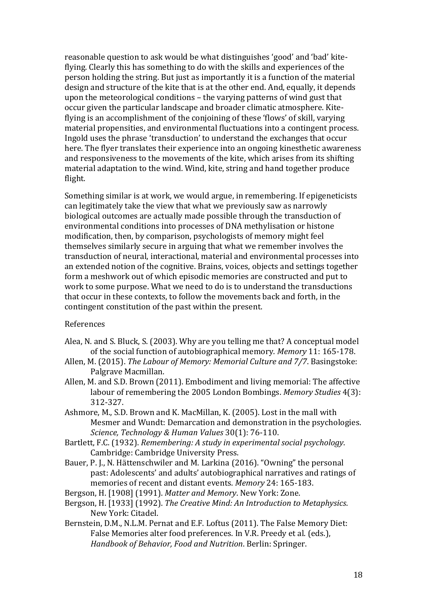reasonable question to ask would be what distinguishes 'good' and 'bad' kiteflying. Clearly this has something to do with the skills and experiences of the person holding the string. But just as importantly it is a function of the material design and structure of the kite that is at the other end. And, equally, it depends upon the meteorological conditions – the varying patterns of wind gust that occur given the particular landscape and broader climatic atmosphere. Kiteflying is an accomplishment of the conjoining of these 'flows' of skill, varying material propensities, and environmental fluctuations into a contingent process. Ingold uses the phrase 'transduction' to understand the exchanges that occur here. The flyer translates their experience into an ongoing kinesthetic awareness and responsiveness to the movements of the kite, which arises from its shifting material adaptation to the wind. Wind, kite, string and hand together produce flight.

Something similar is at work, we would argue, in remembering. If epigeneticists can legitimately take the view that what we previously saw as narrowly biological outcomes are actually made possible through the transduction of environmental conditions into processes of DNA methylisation or histone modification, then, by comparison, psychologists of memory might feel themselves similarly secure in arguing that what we remember involves the transduction of neural, interactional, material and environmental processes into an extended notion of the cognitive. Brains, voices, objects and settings together form a meshwork out of which episodic memories are constructed and put to work to some purpose. What we need to do is to understand the transductions that occur in these contexts, to follow the movements back and forth, in the contingent constitution of the past within the present.

#### References

- Alea, N. and S. Bluck, S. (2003). Why are you telling me that? A conceptual model of the social function of autobiographical memory. *Memory* 11: 165-178.
- Allen, M. (2015). *The Labour of Memory: Memorial Culture and 7/7*. Basingstoke: Palgrave Macmillan.
- Allen, M. and S.D. Brown (2011). Embodiment and living memorial: The affective labour of remembering the 2005 London Bombings. *Memory Studies* 4(3): 312-327.
- Ashmore, M., S.D. Brown and K. MacMillan, K. (2005). Lost in the mall with Mesmer and Wundt: Demarcation and demonstration in the psychologies. *Science, Technology & Human Values* 30(1): 76-110.
- Bartlett, F.C. (1932). *Remembering: A study in experimental social psychology*. Cambridge: Cambridge University Press.
- Bauer, P. J., N. Hättenschwiler and M. Larkina (2016). "Owning" the personal past: Adolescents' and adults' autobiographical narratives and ratings of memories of recent and distant events. *Memory* 24: 165-183.
- Bergson, H. [1908] (1991). *Matter and Memory*. New York: Zone.
- Bergson, H. [1933] (1992). *The Creative Mind: An Introduction to Metaphysics*. New York: Citadel.
- Bernstein, D.M., N.L.M. Pernat and E.F. Loftus (2011). The False Memory Diet: False Memories alter food preferences. In V.R. Preedy et al. (eds.), *Handbook of Behavior, Food and Nutrition*. Berlin: Springer.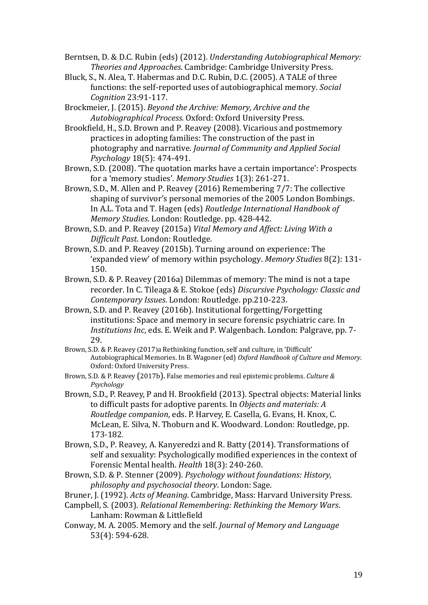Berntsen, D. & D.C. Rubin (eds) (2012). *Understanding Autobiographical Memory: Theories and Approaches*. Cambridge: Cambridge University Press.

Bluck, S., N. Alea, T. Habermas and D.C. Rubin, D.C. (2005). A TALE of three functions: the self-reported uses of autobiographical memory. *Social Cognition* 23:91-117.

Brockmeier, J. (2015). *Beyond the Archive: Memory, Archive and the Autobiographical Process*. Oxford: Oxford University Press.

Brookfield, H., S.D. Brown and P. Reavey (2008). Vicarious and postmemory practices in adopting families: The construction of the past in photography and narrative. *Journal of Community and Applied Social Psychology* 18(5): 474-491.

Brown, S.D. (2008). 'The quotation marks have a certain importance': Prospects for a 'memory studies'. *Memory Studies* 1(3): 261-271.

Brown, S.D., M. Allen and P. Reavey (2016) Remembering 7/7: The collective shaping of survivor's personal memories of the 2005 London Bombings. In A.L. Tota and T. Hagen (eds) *Routledge International Handbook of Memory Studies*. London: Routledge. pp. 428-442.

Brown, S.D. and P. Reavey (2015a) *Vital Memory and Affect: Living With a Difficult Past*. London: Routledge.

Brown, S.D. and P. Reavey (2015b). Turning around on experience: The 'expanded view' of memory within psychology. *Memory Studies* 8(2): 131- 150.

- Brown, S.D. & P. Reavey (2016a) Dilemmas of memory: The mind is not a tape recorder. In C. Tileaga & E. Stokoe (eds) *Discursive Psychology: Classic and Contemporary Issues*. London: Routledge. pp.210-223.
- Brown, S.D. and P. Reavey (2016b). Institutional forgetting/Forgetting institutions: Space and memory in secure forensic psychiatric care. In *Institutions Inc*, eds. E. Weik and P. Walgenbach. London: Palgrave, pp. 7- 29.
- Brown, S.D. & P. Reavey (2017)a Rethinking function, self and culture, in 'Difficult' Autobiographical Memories. In B. Wagoner (ed) *Oxford Handbook of Culture and Memory*. Oxford: Oxford University Press.
- Brown, S.D. & P. Reavey (2017b). False memories and real epistemic problems. *Culture & Psychology*

Brown, S.D., P. Reavey, P and H. Brookfield (2013). Spectral objects: Material links to difficult pasts for adoptive parents. In *Objects and materials: A Routledge companion*, eds. P. Harvey, E. Casella, G. Evans, H. Knox, C. McLean, E. Silva, N. Thoburn and K. Woodward. London: Routledge, pp. 173-182.

Brown, S.D., P. Reavey, A. Kanyeredzi and R. Batty (2014). Transformations of self and sexuality: Psychologically modified experiences in the context of Forensic Mental health. *Health* 18(3): 240-260.

Brown, S.D. & P. Stenner (2009). *Psychology without foundations: History, philosophy and psychosocial theory*. London: Sage.

Bruner, J. (1992). *Acts of Meaning*. Cambridge, Mass: Harvard University Press.

Campbell, S. (2003). *Relational Remembering: Rethinking the Memory Wars*. Lanham: Rowman & Littlefield

Conway, M. A. 2005. Memory and the self. *Journal of Memory and Language* 53(4): 594-628.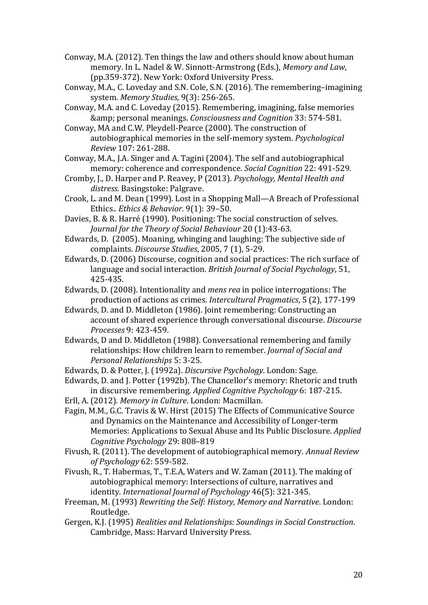- Conway, M.A. (2012). Ten things the law and others should know about human memory. In L. Nadel & W. Sinnott-Armstrong (Eds.), *Memory and Law*, (pp.359-372). New York: Oxford University Press.
- Conway, M.A., C. Loveday and S.N. Cole, S.N. (2016). The remembering–imagining system. *Memory Studies*, 9(3): 256-265.
- Conway, M.A. and C. Loveday (2015). Remembering, imagining, false memories & personal meanings. *Consciousness and Cognition* 33: 574-581.
- Conway, MA and C.W. Pleydell-Pearce (2000). The construction of autobiographical memories in the self-memory system. *Psychological Review* 107: 261-288.
- Conway, M.A., J.A. Singer and A. Tagini (2004). The self and autobiographical memory: coherence and correspondence. *Social Cognition* 22: 491-529.
- Cromby, J., D. Harper and P. Reavey, P (2013). *Psychology, Mental Health and distress.* Basingstoke: Palgrave.
- Crook, L. and M. Dean (1999). Lost in a Shopping Mall—A Breach of Professional Ethics.*. Ethics & Behavior*. 9(1): 39–50.
- Davies, B. & R. Harré (1990). Positioning: The social construction of selves. *[Journal for the Theory of Social Behaviour](http://philpapers.org/asearch.pl?pub=476)* 20 (1):43-63.
- Edwards, D. (2005). Moaning, whinging and laughing: The subjective side of complaints. *Discourse Studies*, 2005, 7 (1), 5-29.
- Edwards, D. (2006) Discourse, cognition and social practices: The rich surface of language and social interaction. *British Journal of Social Psychology*, 51, 425-435.
- Edwards, D. (2008). Intentionality and *mens rea* in police interrogations: The production of actions as crimes. *Intercultural Pragmatics*, 5 (2), 177-199
- Edwards, D. and D. Middleton (1986). Joint remembering: Constructing an account of shared experience through conversational discourse. *Discourse Processes* 9: 423-459.
- Edwards, D and D. Middleton (1988). Conversational remembering and family relationships: How children learn to remember. *Journal of Social and Personal Relationships* 5: 3-25.
- Edwards, D. & Potter, J. (1992a). *Discursive Psychology*. London: Sage.
- Edwards, D. and J. Potter (1992b). The Chancellor's memory: Rhetoric and truth in discursive remembering. *Applied Cognitive Psychology* 6: 187-215.
- Erll, A. (2012)*. Memory in Culture*. London: Macmillan.
- Fagin, M.M., G.C. Travis & W. Hirst (2015) The Effects of Communicative Source and Dynamics on the Maintenance and Accessibility of Longer-term Memories: Applications to Sexual Abuse and Its Public Disclosure. *Applied Cognitive Psychology* 29: 808–819
- Fivush, R. (2011). The development of autobiographical memory. *Annual Review of Psychology* 62: 559-582.
- Fivush, R., T. Habermas, T., T.E.A, Waters and W. Zaman (2011). The making of autobiographical memory: Intersections of culture, narratives and identity. *International Journal of Psychology* 46(5): 321-345.
- Freeman, M. (1993) *Rewriting the Self: History, Memory and Narrative*. London: Routledge.
- Gergen, K.J. (1995) *Realities and Relationships: Soundings in Social Construction*. Cambridge, Mass: Harvard University Press.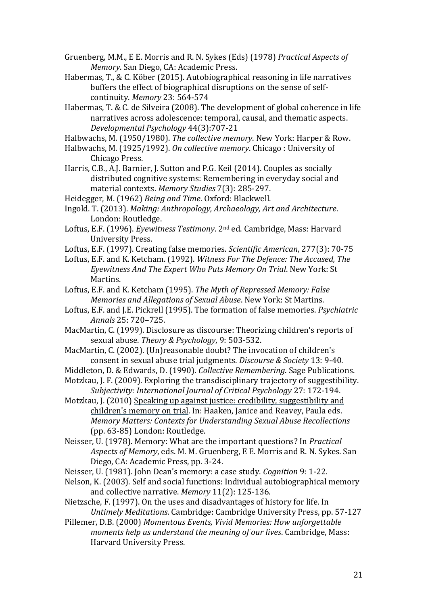Gruenberg, M.M., E E. Morris and R. N. Sykes (Eds) (1978) *Practical Aspects of Memory*. San Diego, CA: Academic Press.

- Habermas, T., & C. Köber (2015). Autobiographical reasoning in life narratives buffers the effect of biographical disruptions on the sense of selfcontinuity. *Memory* 23: 564-574
- Habermas, T. & C. de Silveira (2008). The development of global coherence in life narratives across adolescence: temporal, causal, and thematic aspects. *Developmental Psychology* 44(3):707-21

Halbwachs, M. (1950/1980). *The collective memory*. New York: Harper & Row.

- Halbwachs, M. (1925/1992). *On collective memory*. Chicago : University of Chicago Press.
- Harris, C.B., A.J. Barnier, J. Sutton and P.G. Keil (2014). Couples as socially distributed cognitive systems: Remembering in everyday social and material contexts. *Memory Studies* 7(3): 285-297.

Heidegger, M. (1962) *Being and Time*. Oxford: Blackwell.

Ingold. T. (2013). *Making: Anthropology, Archaeology, Art and Architecture*. London: Routledge.

- Loftus, E.F. (1996). *Eyewitness Testimony*. 2nd ed. Cambridge, Mass: Harvard University Press.
- Loftus, E.F. (1997). Creating false memories. *Scientific American*, 277(3): 70-75
- Loftus, E.F. and K. Ketcham. (1992). *Witness For The Defence: The Accused, The Eyewitness And The Expert Who Puts Memory On Trial*. New York: St Martins.
- Loftus, E.F. and K. Ketcham (1995). *The Myth of Repressed Memory: False Memories and Allegations of Sexual Abuse*. New York: St Martins.
- Loftus, E.F. and J.E. Pickrell (1995). The formation of false memories. *Psychiatric Annals* 25: 720–725.
- MacMartin, C. (1999). Disclosure as discourse: Theorizing children's reports of sexual abuse. *Theory & Psychology*, 9: 503-532.
- MacMartin, C. (2002). (Un)reasonable doubt? The invocation of children's consent in sexual abuse trial judgments. *Discourse & Society* 13: 9-40.
- Middleton, D. & Edwards, D. (1990). *Collective Remembering*. Sage Publications.
- Motzkau, J. F. (2009). Exploring the transdisciplinary trajectory of suggestibility. *Subjectivity: International Journal of Critical Psychology* 27: 172-194.
- Motzkau, J. (2010) Speaking up against justice: credibility, suggestibility and children's memory on trial. In: Haaken, Janice and Reavey, Paula eds. *Memory Matters: Contexts for Understanding Sexual Abuse Recollections* (pp. 63-85) London: Routledge.
- Neisser, U. (1978). Memory: What are the important questions? In *Practical Aspects of Memory*, eds. M. M. Gruenberg, E E. Morris and R. N. Sykes. San Diego, CA: Academic Press, pp. 3-24.
- Neisser, U. (1981). John Dean's memory: a case study. *Cognition* 9: 1-22.
- Nelson, K. (2003). Self and social functions: Individual autobiographical memory and collective narrative. *Memory* 11(2): 125-136.
- Nietzsche, F. (1997). On the uses and disadvantages of history for life. In *Untimely Meditations*. Cambridge: Cambridge University Press, pp. 57-127
- Pillemer, D.B. (2000) *Momentous Events, Vivid Memories: How unforgettable moments help us understand the meaning of our lives*. Cambridge, Mass: Harvard University Press.